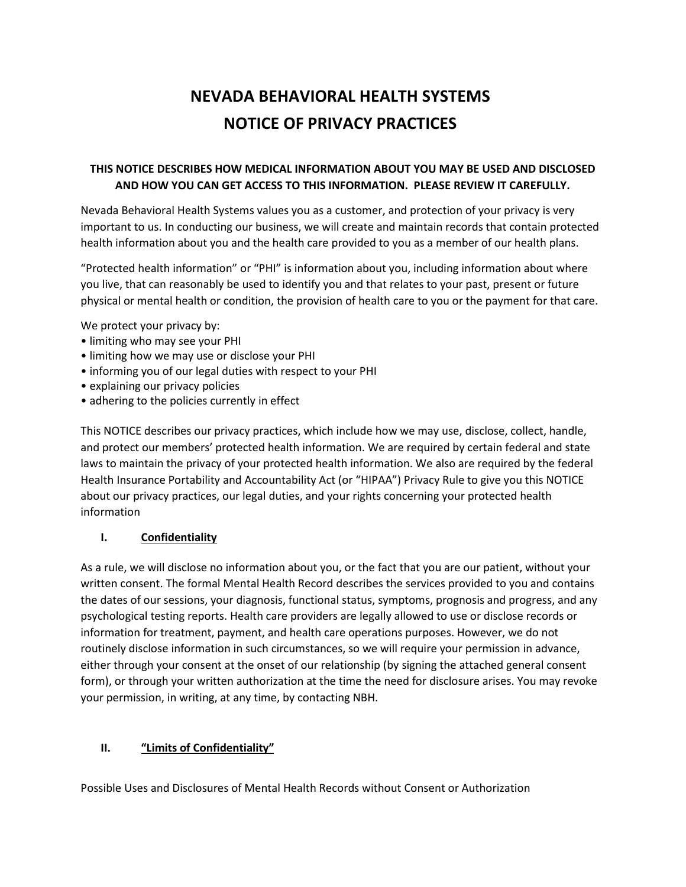# **NEVADA BEHAVIORAL HEALTH SYSTEMS NOTICE OF PRIVACY PRACTICES**

## **THIS NOTICE DESCRIBES HOW MEDICAL INFORMATION ABOUT YOU MAY BE USED AND DISCLOSED AND HOW YOU CAN GET ACCESS TO THIS INFORMATION. PLEASE REVIEW IT CAREFULLY.**

Nevada Behavioral Health Systems values you as a customer, and protection of your privacy is very important to us. In conducting our business, we will create and maintain records that contain protected health information about you and the health care provided to you as a member of our health plans.

"Protected health information" or "PHI" is information about you, including information about where you live, that can reasonably be used to identify you and that relates to your past, present or future physical or mental health or condition, the provision of health care to you or the payment for that care.

We protect your privacy by:

- limiting who may see your PHI
- limiting how we may use or disclose your PHI
- informing you of our legal duties with respect to your PHI
- explaining our privacy policies
- adhering to the policies currently in effect

This NOTICE describes our privacy practices, which include how we may use, disclose, collect, handle, and protect our members' protected health information. We are required by certain federal and state laws to maintain the privacy of your protected health information. We also are required by the federal Health Insurance Portability and Accountability Act (or "HIPAA") Privacy Rule to give you this NOTICE about our privacy practices, our legal duties, and your rights concerning your protected health information

#### **I. Confidentiality**

As a rule, we will disclose no information about you, or the fact that you are our patient, without your written consent. The formal Mental Health Record describes the services provided to you and contains the dates of our sessions, your diagnosis, functional status, symptoms, prognosis and progress, and any psychological testing reports. Health care providers are legally allowed to use or disclose records or information for treatment, payment, and health care operations purposes. However, we do not routinely disclose information in such circumstances, so we will require your permission in advance, either through your consent at the onset of our relationship (by signing the attached general consent form), or through your written authorization at the time the need for disclosure arises. You may revoke your permission, in writing, at any time, by contacting NBH.

## **II. "Limits of Confidentiality"**

Possible Uses and Disclosures of Mental Health Records without Consent or Authorization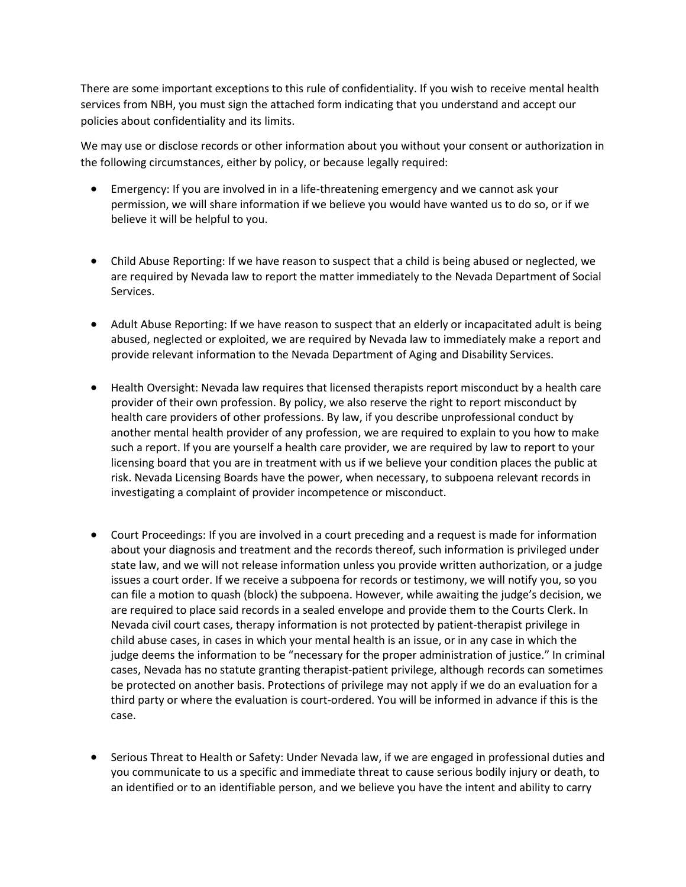There are some important exceptions to this rule of confidentiality. If you wish to receive mental health services from NBH, you must sign the attached form indicating that you understand and accept our policies about confidentiality and its limits.

We may use or disclose records or other information about you without your consent or authorization in the following circumstances, either by policy, or because legally required:

- Emergency: If you are involved in in a life-threatening emergency and we cannot ask your permission, we will share information if we believe you would have wanted us to do so, or if we believe it will be helpful to you.
- Child Abuse Reporting: If we have reason to suspect that a child is being abused or neglected, we are required by Nevada law to report the matter immediately to the Nevada Department of Social Services.
- Adult Abuse Reporting: If we have reason to suspect that an elderly or incapacitated adult is being abused, neglected or exploited, we are required by Nevada law to immediately make a report and provide relevant information to the Nevada Department of Aging and Disability Services.
- Health Oversight: Nevada law requires that licensed therapists report misconduct by a health care provider of their own profession. By policy, we also reserve the right to report misconduct by health care providers of other professions. By law, if you describe unprofessional conduct by another mental health provider of any profession, we are required to explain to you how to make such a report. If you are yourself a health care provider, we are required by law to report to your licensing board that you are in treatment with us if we believe your condition places the public at risk. Nevada Licensing Boards have the power, when necessary, to subpoena relevant records in investigating a complaint of provider incompetence or misconduct.
- Court Proceedings: If you are involved in a court preceding and a request is made for information about your diagnosis and treatment and the records thereof, such information is privileged under state law, and we will not release information unless you provide written authorization, or a judge issues a court order. If we receive a subpoena for records or testimony, we will notify you, so you can file a motion to quash (block) the subpoena. However, while awaiting the judge's decision, we are required to place said records in a sealed envelope and provide them to the Courts Clerk. In Nevada civil court cases, therapy information is not protected by patient-therapist privilege in child abuse cases, in cases in which your mental health is an issue, or in any case in which the judge deems the information to be "necessary for the proper administration of justice." In criminal cases, Nevada has no statute granting therapist-patient privilege, although records can sometimes be protected on another basis. Protections of privilege may not apply if we do an evaluation for a third party or where the evaluation is court-ordered. You will be informed in advance if this is the case.
- Serious Threat to Health or Safety: Under Nevada law, if we are engaged in professional duties and you communicate to us a specific and immediate threat to cause serious bodily injury or death, to an identified or to an identifiable person, and we believe you have the intent and ability to carry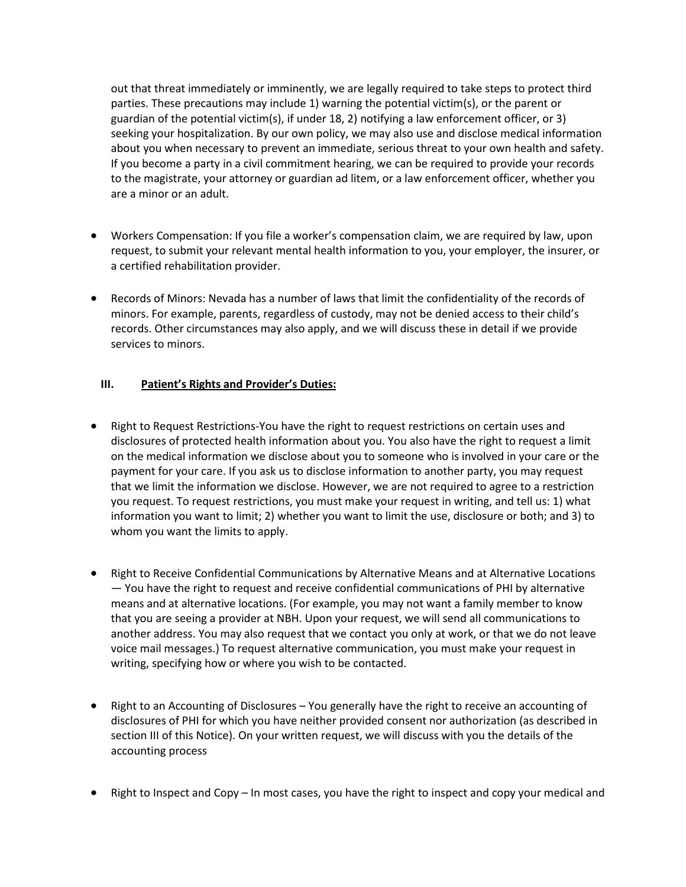out that threat immediately or imminently, we are legally required to take steps to protect third parties. These precautions may include 1) warning the potential victim(s), or the parent or guardian of the potential victim(s), if under 18, 2) notifying a law enforcement officer, or 3) seeking your hospitalization. By our own policy, we may also use and disclose medical information about you when necessary to prevent an immediate, serious threat to your own health and safety. If you become a party in a civil commitment hearing, we can be required to provide your records to the magistrate, your attorney or guardian ad litem, or a law enforcement officer, whether you are a minor or an adult.

- Workers Compensation: If you file a worker's compensation claim, we are required by law, upon request, to submit your relevant mental health information to you, your employer, the insurer, or a certified rehabilitation provider.
- Records of Minors: Nevada has a number of laws that limit the confidentiality of the records of minors. For example, parents, regardless of custody, may not be denied access to their child's records. Other circumstances may also apply, and we will discuss these in detail if we provide services to minors.

## **III. Patient's Rights and Provider's Duties:**

- Right to Request Restrictions-You have the right to request restrictions on certain uses and disclosures of protected health information about you. You also have the right to request a limit on the medical information we disclose about you to someone who is involved in your care or the payment for your care. If you ask us to disclose information to another party, you may request that we limit the information we disclose. However, we are not required to agree to a restriction you request. To request restrictions, you must make your request in writing, and tell us: 1) what information you want to limit; 2) whether you want to limit the use, disclosure or both; and 3) to whom you want the limits to apply.
- Right to Receive Confidential Communications by Alternative Means and at Alternative Locations — You have the right to request and receive confidential communications of PHI by alternative means and at alternative locations. (For example, you may not want a family member to know that you are seeing a provider at NBH. Upon your request, we will send all communications to another address. You may also request that we contact you only at work, or that we do not leave voice mail messages.) To request alternative communication, you must make your request in writing, specifying how or where you wish to be contacted.
- Right to an Accounting of Disclosures You generally have the right to receive an accounting of disclosures of PHI for which you have neither provided consent nor authorization (as described in section III of this Notice). On your written request, we will discuss with you the details of the accounting process
- Right to Inspect and Copy In most cases, you have the right to inspect and copy your medical and